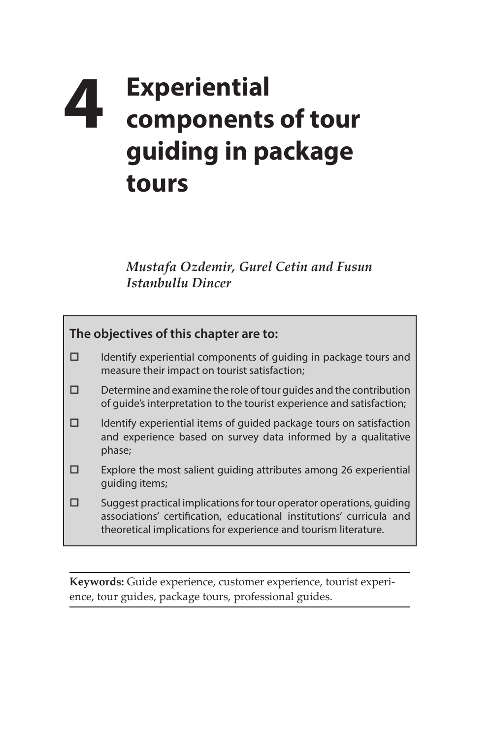## **4 Experiential components of tour guiding in package tours**

*Mustafa Ozdemir, Gurel Cetin and Fusun Istanbullu Dincer*

| The objectives of this chapter are to: |                                                                                                                                                                                                                 |
|----------------------------------------|-----------------------------------------------------------------------------------------------------------------------------------------------------------------------------------------------------------------|
| □                                      | Identify experiential components of guiding in package tours and<br>measure their impact on tourist satisfaction;                                                                                               |
| ⊓                                      | Determine and examine the role of tour guides and the contribution<br>of quide's interpretation to the tourist experience and satisfaction;                                                                     |
| п                                      | Identify experiential items of quided package tours on satisfaction<br>and experience based on survey data informed by a qualitative<br>phase;                                                                  |
| П                                      | Explore the most salient guiding attributes among 26 experiential<br>quiding items;                                                                                                                             |
| п                                      | Suggest practical implications for tour operator operations, guiding<br>associations' certification, educational institutions' curricula and<br>theoretical implications for experience and tourism literature. |

**Keywords:** Guide experience, customer experience, tourist experience, tour guides, package tours, professional guides.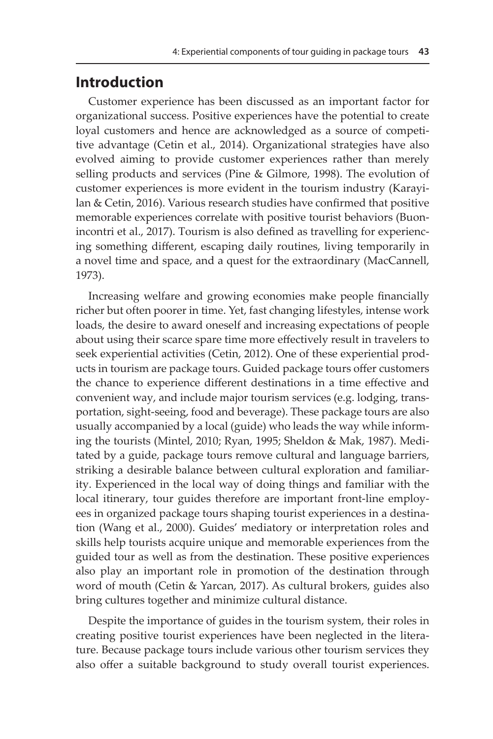## **Introduction**

Customer experience has been discussed as an important factor for organizational success. Positive experiences have the potential to create loyal customers and hence are acknowledged as a source of competitive advantage (Cetin et al., 2014). Organizational strategies have also evolved aiming to provide customer experiences rather than merely selling products and services (Pine & Gilmore, 1998). The evolution of customer experiences is more evident in the tourism industry (Karayilan & Cetin, 2016). Various research studies have confirmed that positive memorable experiences correlate with positive tourist behaviors (Buonincontri et al., 2017). Tourism is also defined as travelling for experiencing something different, escaping daily routines, living temporarily in a novel time and space, and a quest for the extraordinary (MacCannell, 1973).

Increasing welfare and growing economies make people financially richer but often poorer in time. Yet, fast changing lifestyles, intense work loads, the desire to award oneself and increasing expectations of people about using their scarce spare time more effectively result in travelers to seek experiential activities (Cetin, 2012). One of these experiential products in tourism are package tours. Guided package tours offer customers the chance to experience different destinations in a time effective and convenient way, and include major tourism services (e.g. lodging, transportation, sight-seeing, food and beverage). These package tours are also usually accompanied by a local (guide) who leads the way while informing the tourists (Mintel, 2010; Ryan, 1995; Sheldon & Mak, 1987). Meditated by a guide, package tours remove cultural and language barriers, striking a desirable balance between cultural exploration and familiarity. Experienced in the local way of doing things and familiar with the local itinerary, tour guides therefore are important front-line employees in organized package tours shaping tourist experiences in a destination (Wang et al., 2000). Guides' mediatory or interpretation roles and skills help tourists acquire unique and memorable experiences from the guided tour as well as from the destination. These positive experiences also play an important role in promotion of the destination through word of mouth (Cetin & Yarcan, 2017). As cultural brokers, guides also bring cultures together and minimize cultural distance.

Despite the importance of guides in the tourism system, their roles in creating positive tourist experiences have been neglected in the literature. Because package tours include various other tourism services they also offer a suitable background to study overall tourist experiences.